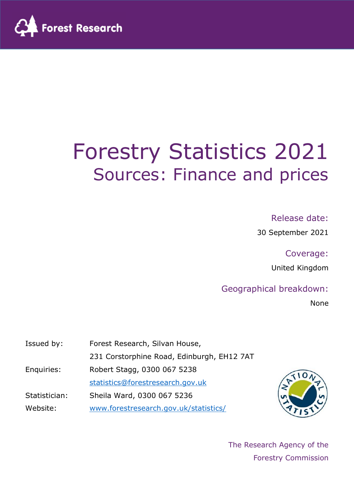

# Forestry Statistics 2021 Sources: Finance and prices

#### Release date:

30 September 2021

Coverage:

United Kingdom

#### Geographical breakdown:

None

| Issued by:    | Forest Research, Silvan House,             |
|---------------|--------------------------------------------|
|               | 231 Corstorphine Road, Edinburgh, EH12 7AT |
| Enquiries:    | Robert Stagg, 0300 067 5238                |
|               | statistics@forestresearch.gov.uk           |
| Statistician: | Sheila Ward, 0300 067 5236                 |
| Website:      | www.forestresearch.gov.uk/statistics/      |



The Research Agency of the Forestry Commission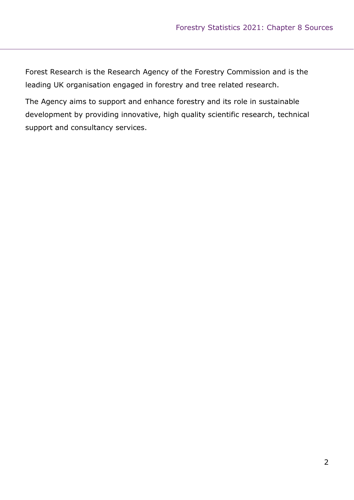Forest Research is the Research Agency of the Forestry Commission and is the leading UK organisation engaged in forestry and tree related research.

The Agency aims to support and enhance forestry and its role in sustainable development by providing innovative, high quality scientific research, technical support and consultancy services.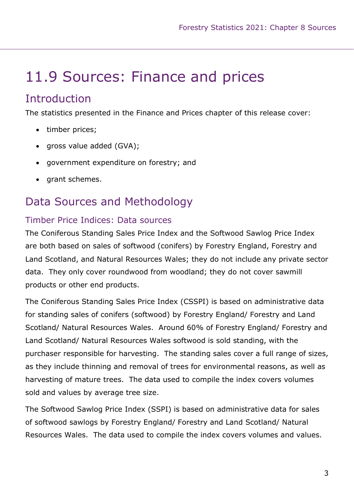# 11.9 Sources: Finance and prices

# **Introduction**

The statistics presented in the Finance and Prices chapter of this release cover:

- timber prices;
- gross value added (GVA);
- government expenditure on forestry; and
- arant schemes.

# Data Sources and Methodology

#### Timber Price Indices: Data sources

The Coniferous Standing Sales Price Index and the Softwood Sawlog Price Index are both based on sales of softwood (conifers) by Forestry England, Forestry and Land Scotland, and Natural Resources Wales; they do not include any private sector data. They only cover roundwood from woodland; they do not cover sawmill products or other end products.

The Coniferous Standing Sales Price Index (CSSPI) is based on administrative data for standing sales of conifers (softwood) by Forestry England/ Forestry and Land Scotland/ Natural Resources Wales. Around 60% of Forestry England/ Forestry and Land Scotland/ Natural Resources Wales softwood is sold standing, with the purchaser responsible for harvesting. The standing sales cover a full range of sizes, as they include thinning and removal of trees for environmental reasons, as well as harvesting of mature trees. The data used to compile the index covers volumes sold and values by average tree size.

The Softwood Sawlog Price Index (SSPI) is based on administrative data for sales of softwood sawlogs by Forestry England/ Forestry and Land Scotland/ Natural Resources Wales. The data used to compile the index covers volumes and values.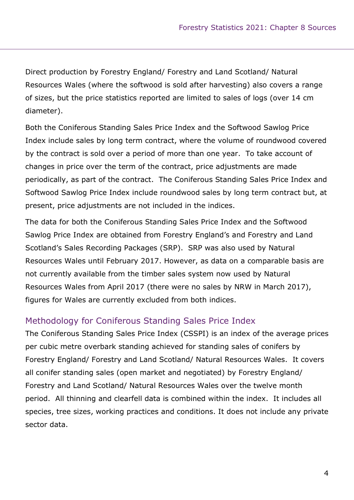Direct production by Forestry England/ Forestry and Land Scotland/ Natural Resources Wales (where the softwood is sold after harvesting) also covers a range of sizes, but the price statistics reported are limited to sales of logs (over 14 cm diameter).

Both the Coniferous Standing Sales Price Index and the Softwood Sawlog Price Index include sales by long term contract, where the volume of roundwood covered by the contract is sold over a period of more than one year. To take account of changes in price over the term of the contract, price adjustments are made periodically, as part of the contract. The Coniferous Standing Sales Price Index and Softwood Sawlog Price Index include roundwood sales by long term contract but, at present, price adjustments are not included in the indices.

The data for both the Coniferous Standing Sales Price Index and the Softwood Sawlog Price Index are obtained from Forestry England's and Forestry and Land Scotland's Sales Recording Packages (SRP). SRP was also used by Natural Resources Wales until February 2017. However, as data on a comparable basis are not currently available from the timber sales system now used by Natural Resources Wales from April 2017 (there were no sales by NRW in March 2017), figures for Wales are currently excluded from both indices.

#### Methodology for Coniferous Standing Sales Price Index

The Coniferous Standing Sales Price Index (CSSPI) is an index of the average prices per cubic metre overbark standing achieved for standing sales of conifers by Forestry England/ Forestry and Land Scotland/ Natural Resources Wales. It covers all conifer standing sales (open market and negotiated) by Forestry England/ Forestry and Land Scotland/ Natural Resources Wales over the twelve month period. All thinning and clearfell data is combined within the index. It includes all species, tree sizes, working practices and conditions. It does not include any private sector data.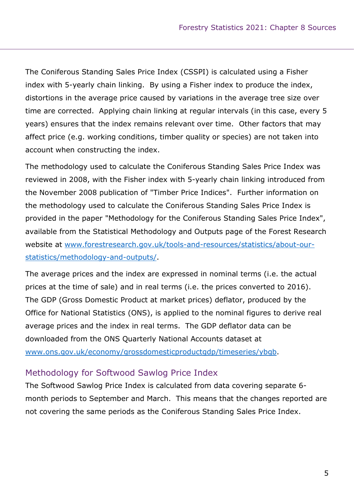The Coniferous Standing Sales Price Index (CSSPI) is calculated using a Fisher index with 5-yearly chain linking. By using a Fisher index to produce the index, distortions in the average price caused by variations in the average tree size over time are corrected. Applying chain linking at regular intervals (in this case, every 5 years) ensures that the index remains relevant over time. Other factors that may affect price (e.g. working conditions, timber quality or species) are not taken into account when constructing the index.

The methodology used to calculate the Coniferous Standing Sales Price Index was reviewed in 2008, with the Fisher index with 5-yearly chain linking introduced from the November 2008 publication of "Timber Price Indices". Further information on the methodology used to calculate the Coniferous Standing Sales Price Index is provided in the paper "Methodology for the Coniferous Standing Sales Price Index", available from the Statistical Methodology and Outputs page of the Forest Research website at www.forestresearch.gov.uk/tools-and-resources/statistics/about-ourstatistics/methodology-and-outputs/.

The average prices and the index are expressed in nominal terms (i.e. the actual prices at the time of sale) and in real terms (i.e. the prices converted to 2016). The GDP (Gross Domestic Product at market prices) deflator, produced by the Office for National Statistics (ONS), is applied to the nominal figures to derive real average prices and the index in real terms. The GDP deflator data can be downloaded from the ONS Quarterly National Accounts dataset at www.ons.gov.uk/economy/grossdomesticproductgdp/timeseries/ybgb.

#### Methodology for Softwood Sawlog Price Index

The Softwood Sawlog Price Index is calculated from data covering separate 6 month periods to September and March. This means that the changes reported are not covering the same periods as the Coniferous Standing Sales Price Index.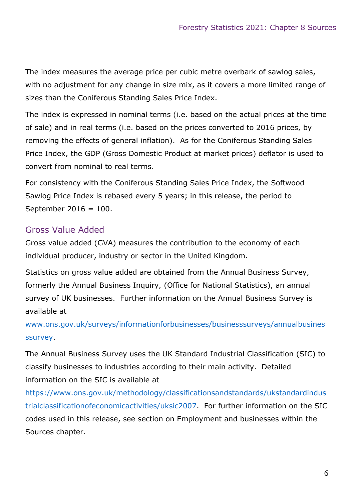The index measures the average price per cubic metre overbark of sawlog sales, with no adjustment for any change in size mix, as it covers a more limited range of sizes than the Coniferous Standing Sales Price Index.

The index is expressed in nominal terms (i.e. based on the actual prices at the time of sale) and in real terms (i.e. based on the prices converted to 2016 prices, by removing the effects of general inflation). As for the Coniferous Standing Sales Price Index, the GDP (Gross Domestic Product at market prices) deflator is used to convert from nominal to real terms.

For consistency with the Coniferous Standing Sales Price Index, the Softwood Sawlog Price Index is rebased every 5 years; in this release, the period to September 2016 = 100.

#### Gross Value Added

Gross value added (GVA) measures the contribution to the economy of each individual producer, industry or sector in the United Kingdom.

Statistics on gross value added are obtained from the Annual Business Survey, formerly the Annual Business Inquiry, (Office for National Statistics), an annual survey of UK businesses. Further information on the Annual Business Survey is available at

www.ons.gov.uk/surveys/informationforbusinesses/businesssurveys/annualbusines ssurvey.

The Annual Business Survey uses the UK Standard Industrial Classification (SIC) to classify businesses to industries according to their main activity. Detailed information on the SIC is available at

https://www.ons.gov.uk/methodology/classificationsandstandards/ukstandardindus trialclassificationofeconomicactivities/uksic2007. For further information on the SIC codes used in this release, see section on Employment and businesses within the Sources chapter.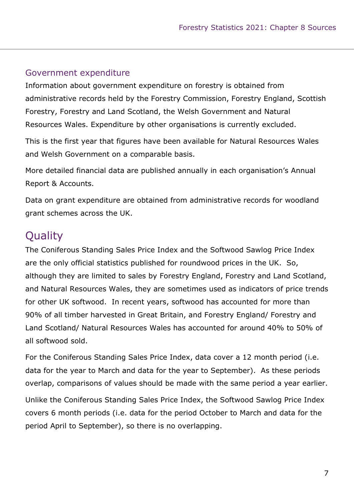#### Government expenditure

Information about government expenditure on forestry is obtained from administrative records held by the Forestry Commission, Forestry England, Scottish Forestry, Forestry and Land Scotland, the Welsh Government and Natural Resources Wales. Expenditure by other organisations is currently excluded.

This is the first year that figures have been available for Natural Resources Wales and Welsh Government on a comparable basis.

More detailed financial data are published annually in each organisation's Annual Report & Accounts.

Data on grant expenditure are obtained from administrative records for woodland grant schemes across the UK.

# **Ouality**

The Coniferous Standing Sales Price Index and the Softwood Sawlog Price Index are the only official statistics published for roundwood prices in the UK. So, although they are limited to sales by Forestry England, Forestry and Land Scotland, and Natural Resources Wales, they are sometimes used as indicators of price trends for other UK softwood. In recent years, softwood has accounted for more than 90% of all timber harvested in Great Britain, and Forestry England/ Forestry and Land Scotland/ Natural Resources Wales has accounted for around 40% to 50% of all softwood sold.

For the Coniferous Standing Sales Price Index, data cover a 12 month period (i.e. data for the year to March and data for the year to September). As these periods overlap, comparisons of values should be made with the same period a year earlier.

Unlike the Coniferous Standing Sales Price Index, the Softwood Sawlog Price Index covers 6 month periods (i.e. data for the period October to March and data for the period April to September), so there is no overlapping.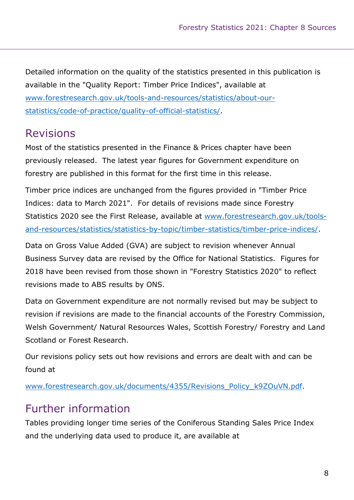Detailed information on the quality of the statistics presented in this publication is available in the "Quality Report: Timber Price Indices", available at www.forestresearch.gov.uk/tools-and-resources/statistics/about-ourstatistics/code-of-practice/quality-of-official-statistics/.

# Revisions

Most of the statistics presented in the Finance & Prices chapter have been previously released. The latest year figures for Government expenditure on forestry are published in this format for the first time in this release.

Timber price indices are unchanged from the figures provided in "Timber Price Indices: data to March 2021". For details of revisions made since Forestry Statistics 2020 see the First Release, available at www.forestresearch.gov.uk/toolsand-resources/statistics/statistics-by-topic/timber-statistics/timber-price-indices/.

Data on Gross Value Added (GVA) are subject to revision whenever Annual Business Survey data are revised by the Office for National Statistics. Figures for 2018 have been revised from those shown in "Forestry Statistics 2020" to reflect revisions made to ABS results by ONS.

Data on Government expenditure are not normally revised but may be subject to revision if revisions are made to the financial accounts of the Forestry Commission, Welsh Government/ Natural Resources Wales, Scottish Forestry/ Forestry and Land Scotland or Forest Research.

Our revisions policy sets out how revisions and errors are dealt with and can be found at

www.forestresearch.gov.uk/documents/4355/Revisions\_Policy\_k9ZOuVN.pdf.

# Further information

Tables providing longer time series of the Coniferous Standing Sales Price Index and the underlying data used to produce it, are available at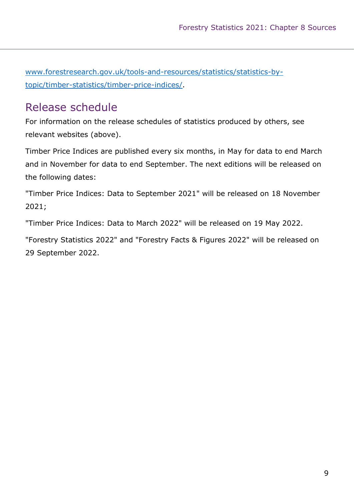www.forestresearch.gov.uk/tools-and-resources/statistics/statistics-bytopic/timber-statistics/timber-price-indices/.

# Release schedule

For information on the release schedules of statistics produced by others, see relevant websites (above).

Timber Price Indices are published every six months, in May for data to end March and in November for data to end September. The next editions will be released on the following dates:

"Timber Price Indices: Data to September 2021" will be released on 18 November 2021;

"Timber Price Indices: Data to March 2022" will be released on 19 May 2022.

"Forestry Statistics 2022" and "Forestry Facts & Figures 2022" will be released on 29 September 2022.